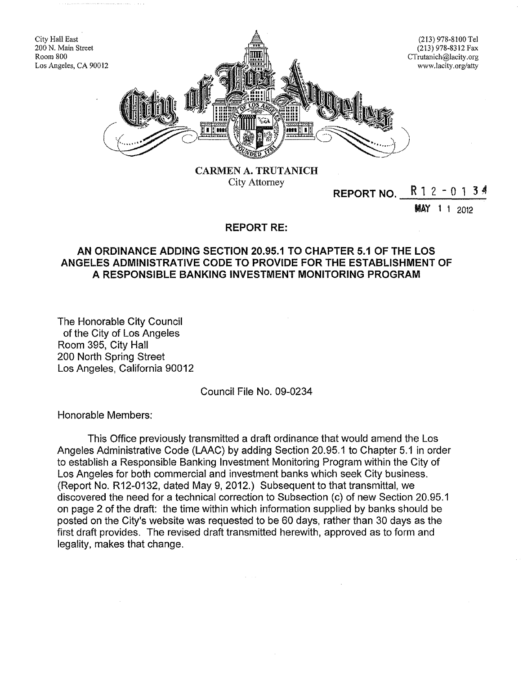

City Attorney

# **REPORT NO.**  $R$  1 2 - 0 1 3  $\frac{3}{4}$

**MAY** 1 1 2012

## REPORT RE:

### AN ORDINANCE ADDING SECTION 20.95.1 TO CHAPTER 5.1 OF THE LOS ANGELES ADMINISTRATIVE CODE TO PROVIDE FOR THE ESTABLISHMENT OF A RESPONSIBLE BANKING INVESTMENT MONITORING PROGRAM

The Honorable City Council of the City of Los Angeles Room 395, City Hall 200 North Spring Street Los Angeles, California 90012

#### Council File No. 09-0234

Honorable Members:

This Office previously transmitted a draft ordinance that would amend the Los Angeles Administrative Code (LAAC) by adding Section 20.95.1 to Chapter 5.1 in order to establish a Responsible Banking Investment Monitoring Program within the City of Los Angeles for both commercial and investment banks which seek City business. (Report No. R12-0132, dated May 9,2012.) Subsequent to that transmittal, we discovered the need for a technical correction to Subsection (c) of new Section 20.95.1 on page 2 of the draft: the time within which information supplied by banks should be posted on the City's website was requested to be 60 days, rather than 30 days as the first draft provides. The revised draft transmitted herewith, approved as to form and legality, makes that change.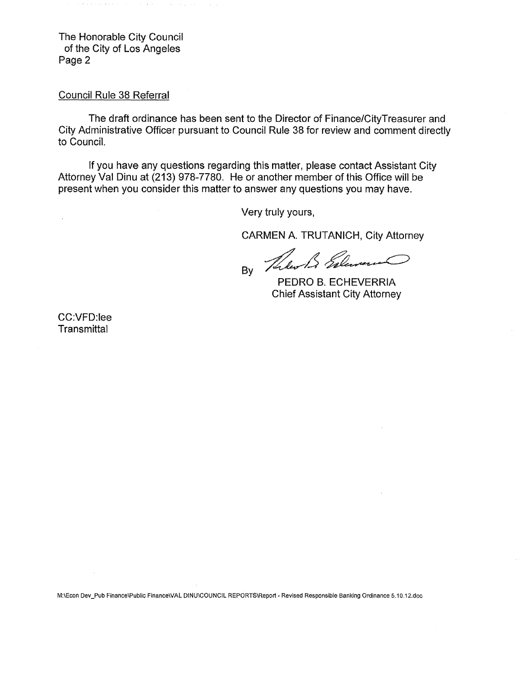The Honorable City Council of the City of Los Angeles Page 2

 $\sim 100$ 

المتواطئ

Council Rule 38 Referral

The draft ordinance has been sent to the Director of Finance/CityTreasurer and City Administrative Officer pursuant to Council Rule 38 for review and comment directly to Council.

If you have any questions regarding this matter, please contact Assistant City Attorney Val Dinu at (213) 978-7780. He or another member of this Office will be present when you consider this matter to answer any questions you may have.

Very truly yours,

CARMEN A. TRUTANICH, City Attorney

BY The B Salar كسيس

PEDRO B. ECHEVERRIA Chief Assistant City Attorney

CC:VFD:lee **Transmittal** 

M:\Econ Dev\_Pub Finance\Public Finance\VAL DINU\COUNCIL REPORTS\Report - Revised Responsible Banking Ordinance 5.10.12.doc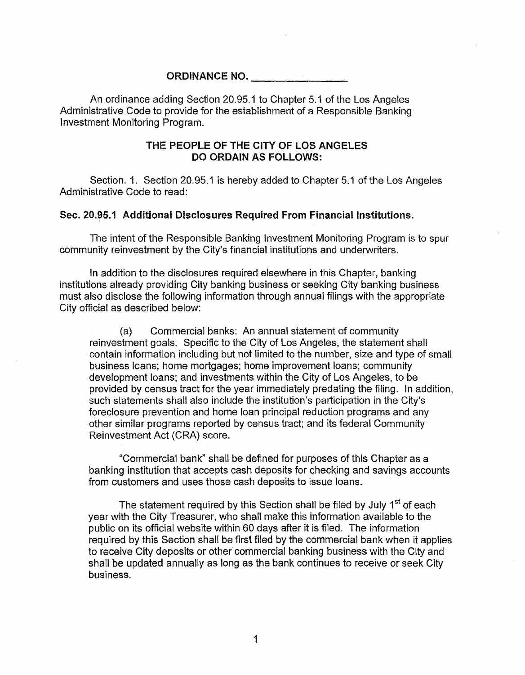ORDINANCE NO. \_

An ordinance adding Section 20.95.1 to Chapter 5.1 of the Los Angeles Administrative Code to provide for the establishment of a Responsible Banking Investment Monitoring Program.

#### THE PEOPLE OF THE CITY OF LOS ANGELES DO ORDAIN AS FOLLOWS:

Section. 1. Section 20.95.1 is hereby added to Chapter 5.1 of the Los Angeles Administrative Code to read:

#### Sec. 20.95.1 Additional Disclosures Required From Financial Institutions.

The intent of the Responsible Banking Investment Monitoring Program is to spur community reinvestment by the City's financial institutions and underwriters.

In addition to the disclosures required elsewhere in this Chapter, banking institutions already providing City banking business or seeking City banking business must also disclose the following information through annual filings with the appropriate City official as described below:

(a) Commercial banks: An annual statement of community reinvestment goals. Specific to the City of Los Angeles, the statement shall contain information including but not limited to the number, size and type of small business loans; home mortgages; home improvement loans; community development loans; and investments within the City of Los Angeles, to be provided by census tract for the year immediately predating the filing. In addition, such statements shall also include the institution's participation in the City's foreclosure prevention and home loan principal reduction programs and any other similar programs reported by census tract; and its federal Community Reinvestment Act (CRA) score.

"Commercial bank" shall be defined for purposes of this Chapter as a banking institution that accepts cash deposits for checking and savings accounts from customers and uses those cash deposits to issue loans.

The statement required by this Section shall be filed by July 1<sup>st</sup> of each year with the City Treasurer, who shall make this information available to the public on its official website within 60 days after it is filed. The information required by this Section shall be first filed by the commercial bank when it applies to receive City deposits or other commercial banking business with the City and shall be updated annually as long as the bank continues to receive or seek City business.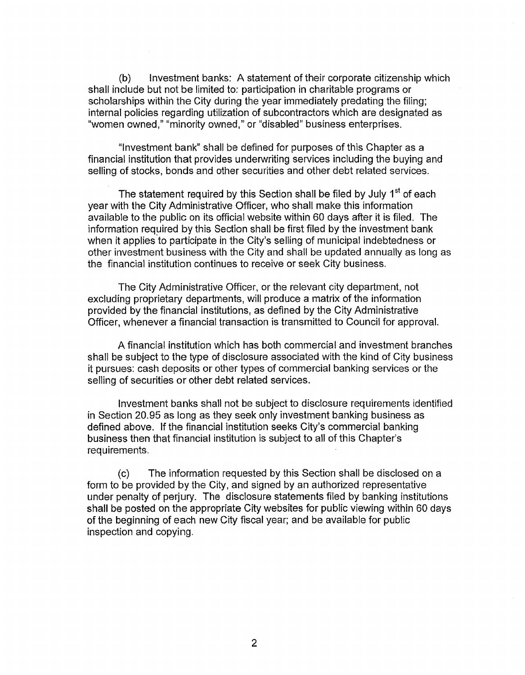(b) Investment banks: A statement of their corporate citizenship which shall include but not be limited to: participation in charitable programs or scholarships within the City during the year immediately predating the filing; internal policies regarding utilization of subcontractors which are designated as "women owned," "minority owned," or "disabled" business enterprises.

"Investment bank" shall be defined for purposes of this Chapter as a financial institution that provides underwriting services including the buying and selling of stocks, bonds and other securities and other debt related services.

The statement required by this Section shall be filed by July 1<sup>st</sup> of each year with the City Administrative Officer, who shall make this information available to the public on its official website within 60 days after it is filed. The information required by this Section shall be first filed by the investment bank when it applies to participate in the City's selling of municipal indebtedness or other investment business with the City and shall be updated annually as long as the financial institution continues to receive or seek City business.

The City Administrative Officer, or the relevant city department, not excluding proprietary departments, will produce a matrix of the information provided by the financial institutions, as defined by the City Administrative Officer, whenever a financial transaction is transmitted to Council for approval.

A financial institution which has both commercial and investment branches shall be subject to the type of disclosure associated with the kind of City business it pursues: cash deposits or other types of commercial banking services or the selling of securities or other debt related services.

Investment banks shall not be subject to disclosure requirements identified in Section 20.95 as long as they seek only investment banking business as defined above. If the financial institution seeks City's commercial banking business then that financial institution is subject to all of this Chapter's req uirements.

(c) The information requested by this Section shall be disclosed on a form to be provided by the City, and signed by an authorized representative under penalty of perjury. The disclosure statements filed by banking institutions shall be posted on the appropriate City websites for public viewing within 60 days of the beginning of each new City fiscal year; and be available for public inspection and copying.